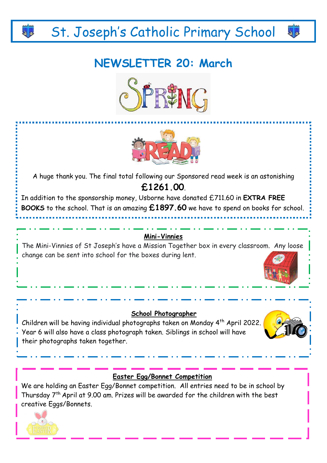# St. Joseph's Catholic Primary School

# **NEWSLETTER 20: March**





A huge thank you. The final total following our Sponsored read week is an astonishing **£1261.00**.

In addition to the sponsorship money, Usborne have donated £711.60 in **EXTRA FREE BOOKS** to the school. That is an amazing **£1897.60** we have to spend on books for school.

### **Mini-Vinnies**

The Mini-Vinnies of St Joseph's have a Mission Together box in every classroom. Any loose change can be sent into school for the boxes during lent.

### **School Photographer**

Children will be having individual photographs taken on Monday 4th April 2022. Year 6 will also have a class photograph taken. Siblings in school will have their photographs taken together.



44

### **Easter Egg/Bonnet Competition**

We are holding an Easter Egg/Bonnet competition. All entries need to be in school by Thursday 7th April at 9.00 am. Prizes will be awarded for the children with the best creative Eggs/Bonnets.

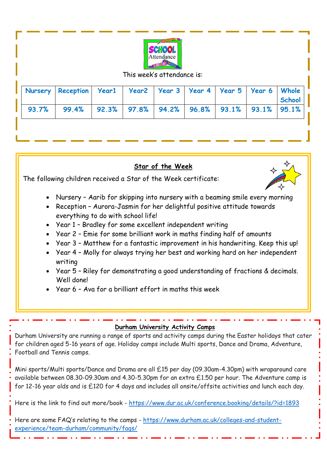

#### This week's attendance is:

|  | Nursery Reception   Year1   Year2   Year 3   Year 4   Year 5   Year 6   Whole |  |  |  | School |
|--|-------------------------------------------------------------------------------|--|--|--|--------|
|  | 93.7% 99.4% 92.3% 97.8% 94.2% 96.8% 93.1% 93.1% 95.1%                         |  |  |  |        |

### **Star of the Week**

The following children received a Star of the Week certificate:

- Nursery Aarib for skipping into nursery with a beaming smile every morning
- Reception Aurora-Jasmin for her delightful positive attitude towards everything to do with school life!
- Year 1 Bradley for some excellent independent writing
- Year 2 Emie for some brilliant work in maths finding half of amounts
- Year 3 Matthew for a fantastic improvement in his handwriting. Keep this up!
- Year 4 Molly for always trying her best and working hard on her independent writing
- Year 5 Riley for demonstrating a good understanding of fractions & decimals. Well done!
- Year 6 Ava for a brilliant effort in maths this week

### **Durham University Activity Camps**

Durham University are running a range of sports and activity camps during the Easter holidays that cater for children aged 5-16 years of age. Holiday camps include Multi sports, Dance and Drama, Adventure, Football and Tennis camps.

Mini sports/Multi sports/Dance and Drama are all £15 per day (09.30am-4.30pm) with wraparound care available between 08.30-09.30am and 4.30-5.30pm for an extra £1.50 per hour. The Adventure camp is for 12-16 year olds and is £120 for 4 days and includes all onsite/offsite activities and lunch each day.

Here is the link to find out more/book - [https://www.dur.ac.uk/conference.booking/details/?id=1893](https://gbr01.safelinks.protection.outlook.com/?url=https%3A%2F%2Fwww.dur.ac.uk%2Fconference.booking%2Fdetails%2F%3Fid%3D1893&data=04%7C01%7Cbcowan%40stjs.bwcet.com%7C478feb0926d44ee95a4c08da07ec7c53%7Cdc2301ac9dcf41af92b86eead97a5fa4%7C0%7C0%7C637831009749019693%7CUnknown%7CTWFpbGZsb3d8eyJWIjoiMC4wLjAwMDAiLCJQIjoiV2luMzIiLCJBTiI6Ik1haWwiLCJXVCI6Mn0%3D%7C3000&sdata=dg9%2BeNEABWIOMR0V4IeWwDk8fVBn6Z2ULFZ4M1xJIoU%3D&reserved=0)

Here are some FAQ's relating to the camps - [https://www.durham.ac.uk/colleges-and-student](https://gbr01.safelinks.protection.outlook.com/?url=https%3A%2F%2Fwww.durham.ac.uk%2Fcolleges-and-student-experience%2Fteam-durham%2Fcommunity%2Ffaqs%2F&data=04%7C01%7Cbcowan%40stjs.bwcet.com%7C478feb0926d44ee95a4c08da07ec7c53%7Cdc2301ac9dcf41af92b86eead97a5fa4%7C0%7C0%7C637831009749019693%7CUnknown%7CTWFpbGZsb3d8eyJWIjoiMC4wLjAwMDAiLCJQIjoiV2luMzIiLCJBTiI6Ik1haWwiLCJXVCI6Mn0%3D%7C3000&sdata=2cBQTj8yJYL7Xey9oFNBgyS%2BJSnixyWklbPILRFC9D8%3D&reserved=0)[experience/team-durham/community/faqs/](https://gbr01.safelinks.protection.outlook.com/?url=https%3A%2F%2Fwww.durham.ac.uk%2Fcolleges-and-student-experience%2Fteam-durham%2Fcommunity%2Ffaqs%2F&data=04%7C01%7Cbcowan%40stjs.bwcet.com%7C478feb0926d44ee95a4c08da07ec7c53%7Cdc2301ac9dcf41af92b86eead97a5fa4%7C0%7C0%7C637831009749019693%7CUnknown%7CTWFpbGZsb3d8eyJWIjoiMC4wLjAwMDAiLCJQIjoiV2luMzIiLCJBTiI6Ik1haWwiLCJXVCI6Mn0%3D%7C3000&sdata=2cBQTj8yJYL7Xey9oFNBgyS%2BJSnixyWklbPILRFC9D8%3D&reserved=0)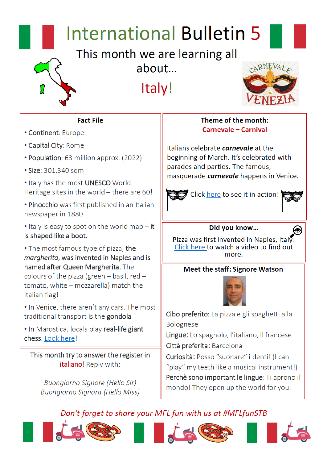# **International Bulletin 5**

This month we are learning all about...

Italy!



### **Fact File**

- Continent: Europe
- Capital City: Rome
- Population: 63 million approx. (2022)
- Size: 301,340 sqm

. Italy has the most UNESCO World Heritage sites in the world - there are 60!

. Pinocchio was first published in an Italian newspaper in 1880

• Italy is easy to spot on the world map - it is shaped like a boot.

• The most famous type of pizza, the margherita, was invented in Naples and is named after Queen Margherita. The colours of the pizza (green  $-$  basil, red  $$ tomato, white – mozzarella) match the Italian flag!

. In Venice, there aren't any cars. The most traditional transport is the gondola

. In Marostica, locals play real-life giant chess. Look here!

This month try to answer the register in italiano! Reply with:

Buongiorno Signore (Hello Sir) Buongiorno Signora (Hello Miss)

## Theme of the month: **Carnevale - Carnival**

Italians celebrate *carnevale* at the beginning of March. It's celebrated with parades and parties. The famous, masquerade *carnevale* happens in Venice.





## Did you know...

Pizza was first invented in Naples, Italy Click here to watch a video to find out more.

## **Meet the staff: Signore Watson**



Cibo preferito: La pizza e gli spaghetti alla Bolognese

Lingue: Lo spagnolo, l'italiano, il francese Città preferita: Barcelona

Curiosità: Posso "suonare" i denti! (I can "play" my teeth like a musical instrument!) Perchè sono important le lingue: Ti aprono il mondo! They open up the world for you.

# Don't forget to share your MFL fun with us at #MFLfunSTB







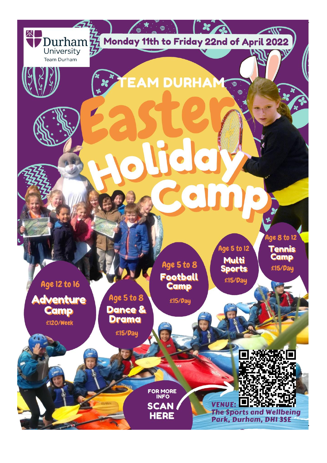